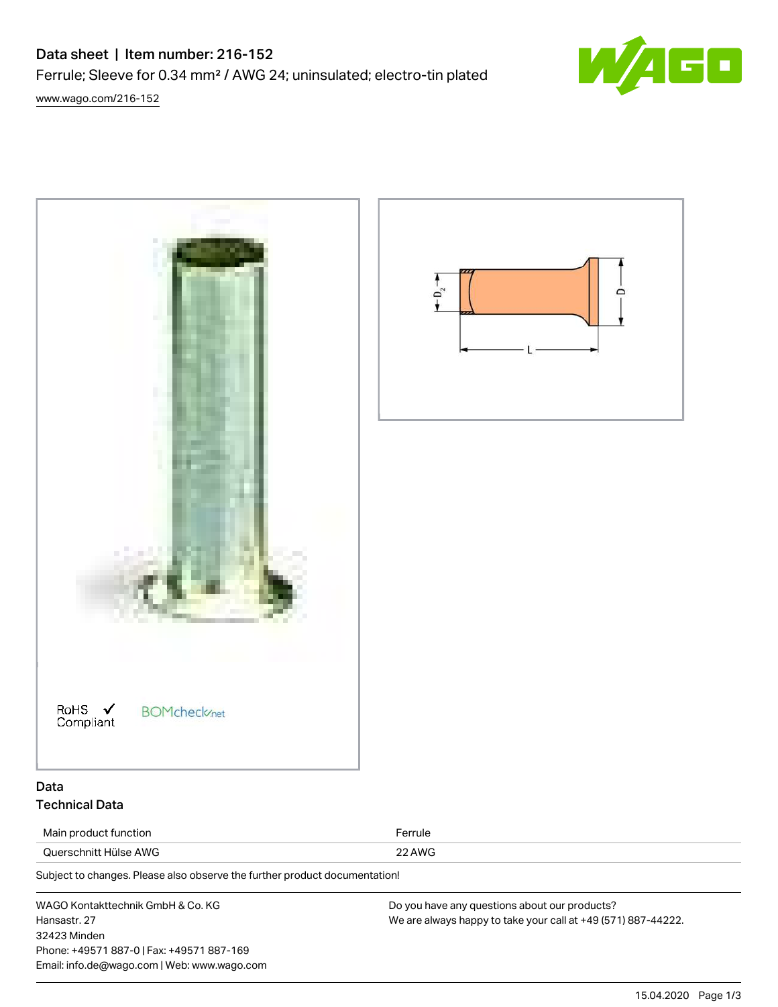## Data sheet | Item number: 216-152

Ferrule; Sleeve for 0.34 mm² / AWG 24; uninsulated; electro-tin plated



[www.wago.com/216-152](http://www.wago.com/216-152)



WAGO Kontakttechnik GmbH & Co. KG Hansastr. 27 32423 Minden Phone: +49571 887-0 | Fax: +49571 887-169 Email: info.de@wago.com | Web: www.wago.com Do you have any questions about our products? We are always happy to take your call at +49 (571) 887-44222.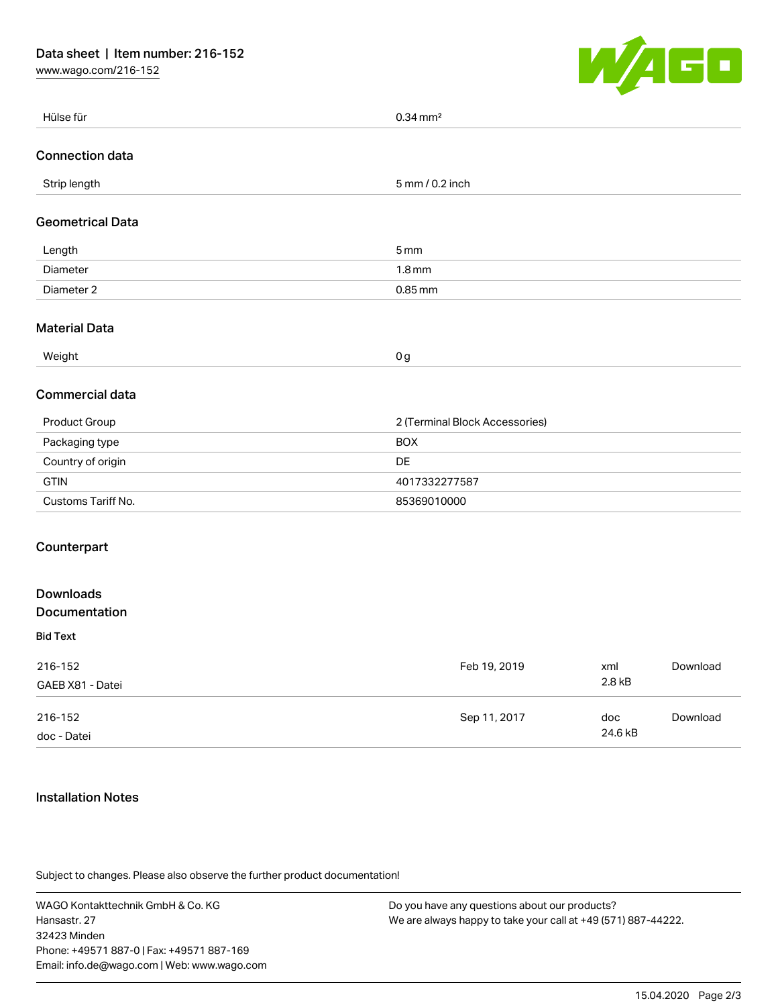[www.wago.com/216-152](http://www.wago.com/216-152)



| Hülse für                         | $0.34$ mm <sup>2</sup>         |                |          |
|-----------------------------------|--------------------------------|----------------|----------|
| <b>Connection data</b>            |                                |                |          |
| Strip length                      | 5 mm / 0.2 inch                |                |          |
| <b>Geometrical Data</b>           |                                |                |          |
| Length                            | 5 <sub>mm</sub>                |                |          |
| Diameter                          | 1.8 <sub>mm</sub>              |                |          |
| Diameter 2                        | $0.85$ mm                      |                |          |
| <b>Material Data</b>              |                                |                |          |
| Weight                            | 0 <sub>g</sub>                 |                |          |
| Commercial data                   |                                |                |          |
| Product Group                     | 2 (Terminal Block Accessories) |                |          |
| Packaging type                    | <b>BOX</b>                     |                |          |
| Country of origin                 | DE                             |                |          |
| <b>GTIN</b>                       | 4017332277587                  |                |          |
| Customs Tariff No.                | 85369010000                    |                |          |
| Counterpart                       |                                |                |          |
| <b>Downloads</b><br>Documentation |                                |                |          |
| <b>Bid Text</b>                   |                                |                |          |
| 216-152<br>GAEB X81 - Datei       | Feb 19, 2019                   | xml<br>2.8 kB  | Download |
| 216-152<br>doc - Datei            | Sep 11, 2017                   | doc<br>24.6 kB | Download |

## Installation Notes

Subject to changes. Please also observe the further product documentation!

WAGO Kontakttechnik GmbH & Co. KG Hansastr. 27 32423 Minden Phone: +49571 887-0 | Fax: +49571 887-169 Email: info.de@wago.com | Web: www.wago.com

Do you have any questions about our products? We are always happy to take your call at +49 (571) 887-44222.